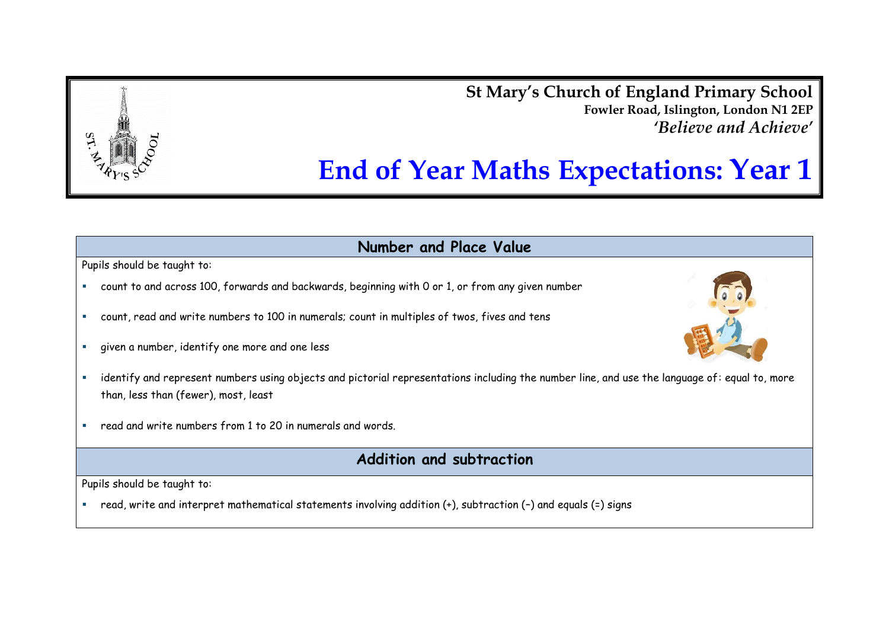**St Mary's Church of England Primary School Fowler Road, Islington, London N1 2EP** *'Believe and Achieve'*

# **End of Year Maths Expectations: Year 1**

**Number and Place Value**

Pupils should be taught to:

- count to and across 100, forwards and backwards, beginning with 0 or 1, or from any given number
- count, read and write numbers to 100 in numerals; count in multiples of twos, fives and tens
- given a number, identify one more and one less
- identify and represent numbers using objects and pictorial representations including the number line, and use the language of: equal to, more than, less than (fewer), most, least
- read and write numbers from 1 to 20 in numerals and words.

## **Addition and subtraction**

Pupils should be taught to:

read, write and interpret mathematical statements involving addition (+), subtraction (–) and equals (=) signs



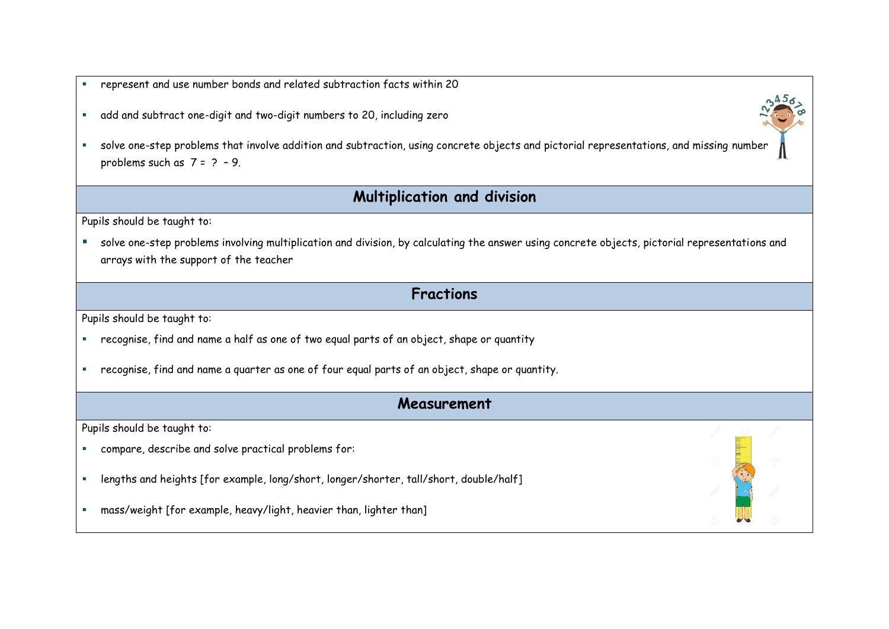- represent and use number bonds and related subtraction facts within 20
- add and subtract one-digit and two-digit numbers to 20, including zero
- solve one-step problems that involve addition and subtraction, using concrete objects and pictorial representations, and missing numb[er](http://www.google.co.uk/url?sa=i&rct=j&q=&esrc=s&source=images&cd=&cad=rja&uact=8&ved=0CAcQjRxqFQoTCKaui5OR1sgCFYnvFAodF2sCig&url=http://www.trickomatics.com/math-learning-tricks/&psig=AFQjCNEUHdRbdmMuEtLMSj9JuC2A8Brgqw&ust=1445605172390398)  problems such as  $7 = 2 - 9$ .

### **Multiplication and division**

Pupils should be taught to:

- solve one-step problems involving multiplication and division, by calculating the answer using concrete objects, pictorial representations and arrays with the support of the teacher
	- **Fractions**

Pupils should be taught to:

- recognise, find and name a half as one of two equal parts of an object, shape or quantity
- recognise, find and name a quarter as one of four equal parts of an object, shape or quantity.

#### **Measurement**

Pupils should be taught to:

- compare, describe and solve practical problems for:
- lengths and heights [for example, long/short, longer/shorter, tall/short, double/half]
- mass/weight [for example, heavy/light, heavier than, lighter than]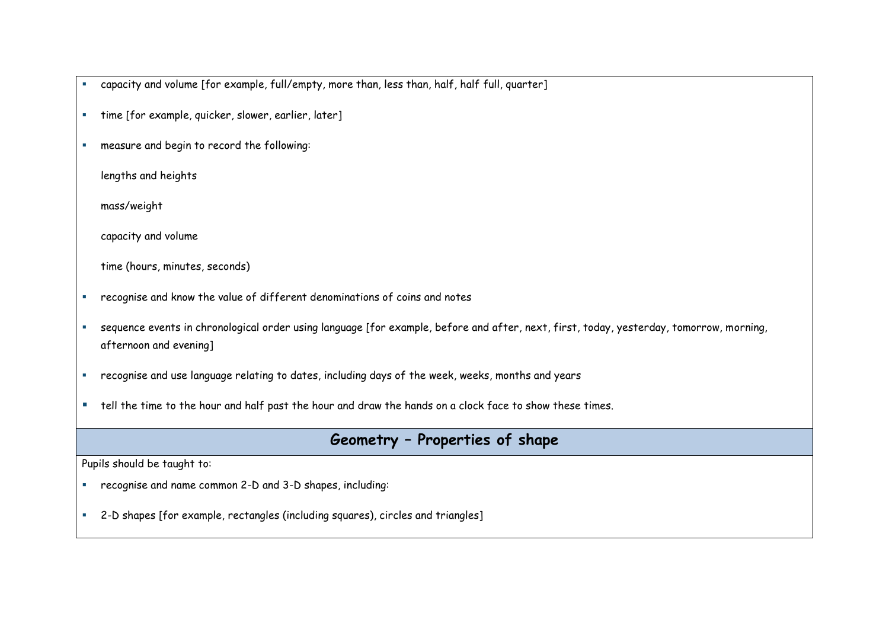capacity and volume [for example, full/empty, more than, less than, half, half full, quarter]

- time [for example, quicker, slower, earlier, later]
- measure and begin to record the following:

lengths and heights

mass/weight

capacity and volume

time (hours, minutes, seconds)

- recognise and know the value of different denominations of coins and notes
- sequence events in chronological order using language [for example, before and after, next, first, today, yesterday, tomorrow, morning, afternoon and evening]
- recognise and use language relating to dates, including days of the week, weeks, months and years
- " tell the time to the hour and half past the hour and draw the hands on a clock face to show these times.

## **Geometry – Properties of shape**

Pupils should be taught to:

- recognise and name common 2-D and 3-D shapes, including:
- 2-D shapes [for example, rectangles (including squares), circles and triangles]